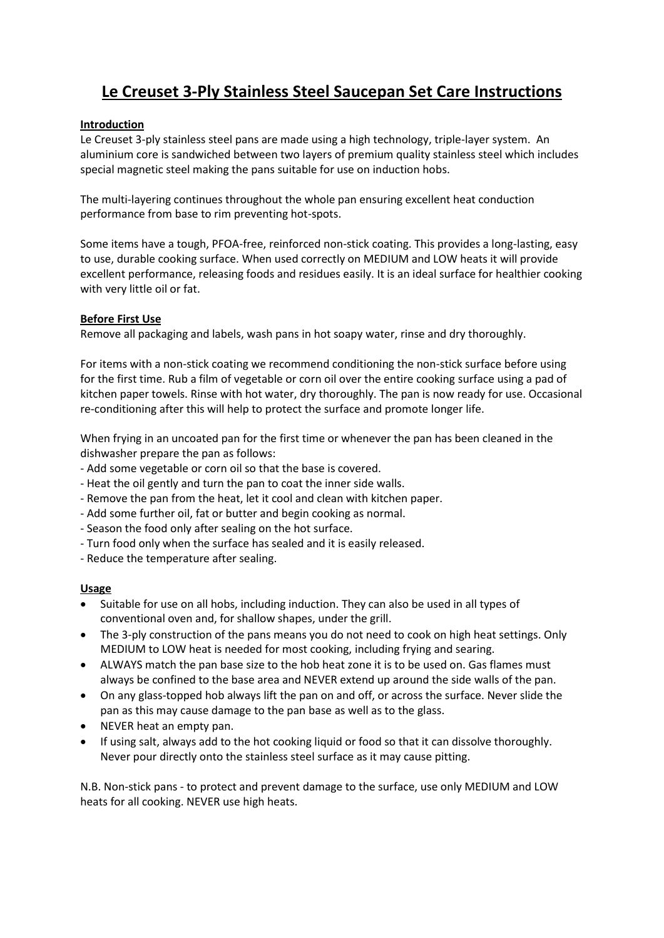# **Le Creuset 3-Ply Stainless Steel Saucepan Set Care Instructions**

# **Introduction**

Le Creuset 3-ply stainless steel pans are made using a high technology, triple-layer system. An aluminium core is sandwiched between two layers of premium quality stainless steel which includes special magnetic steel making the pans suitable for use on induction hobs.

The multi-layering continues throughout the whole pan ensuring excellent heat conduction performance from base to rim preventing hot-spots.

Some items have a tough, PFOA-free, reinforced non-stick coating. This provides a long-lasting, easy to use, durable cooking surface. When used correctly on MEDIUM and LOW heats it will provide excellent performance, releasing foods and residues easily. It is an ideal surface for healthier cooking with very little oil or fat.

# **Before First Use**

Remove all packaging and labels, wash pans in hot soapy water, rinse and dry thoroughly.

For items with a non-stick coating we recommend conditioning the non-stick surface before using for the first time. Rub a film of vegetable or corn oil over the entire cooking surface using a pad of kitchen paper towels. Rinse with hot water, dry thoroughly. The pan is now ready for use. Occasional re-conditioning after this will help to protect the surface and promote longer life.

When frying in an uncoated pan for the first time or whenever the pan has been cleaned in the dishwasher prepare the pan as follows:

- Add some vegetable or corn oil so that the base is covered.
- Heat the oil gently and turn the pan to coat the inner side walls.
- Remove the pan from the heat, let it cool and clean with kitchen paper.
- Add some further oil, fat or butter and begin cooking as normal.
- Season the food only after sealing on the hot surface.
- Turn food only when the surface has sealed and it is easily released.
- Reduce the temperature after sealing.

# **Usage**

- Suitable for use on all hobs, including induction. They can also be used in all types of conventional oven and, for shallow shapes, under the grill.
- The 3-ply construction of the pans means you do not need to cook on high heat settings. Only MEDIUM to LOW heat is needed for most cooking, including frying and searing.
- ALWAYS match the pan base size to the hob heat zone it is to be used on. Gas flames must always be confined to the base area and NEVER extend up around the side walls of the pan.
- On any glass-topped hob always lift the pan on and off, or across the surface. Never slide the pan as this may cause damage to the pan base as well as to the glass.
- NEVER heat an empty pan.
- If using salt, always add to the hot cooking liquid or food so that it can dissolve thoroughly. Never pour directly onto the stainless steel surface as it may cause pitting.

N.B. Non-stick pans - to protect and prevent damage to the surface, use only MEDIUM and LOW heats for all cooking. NEVER use high heats.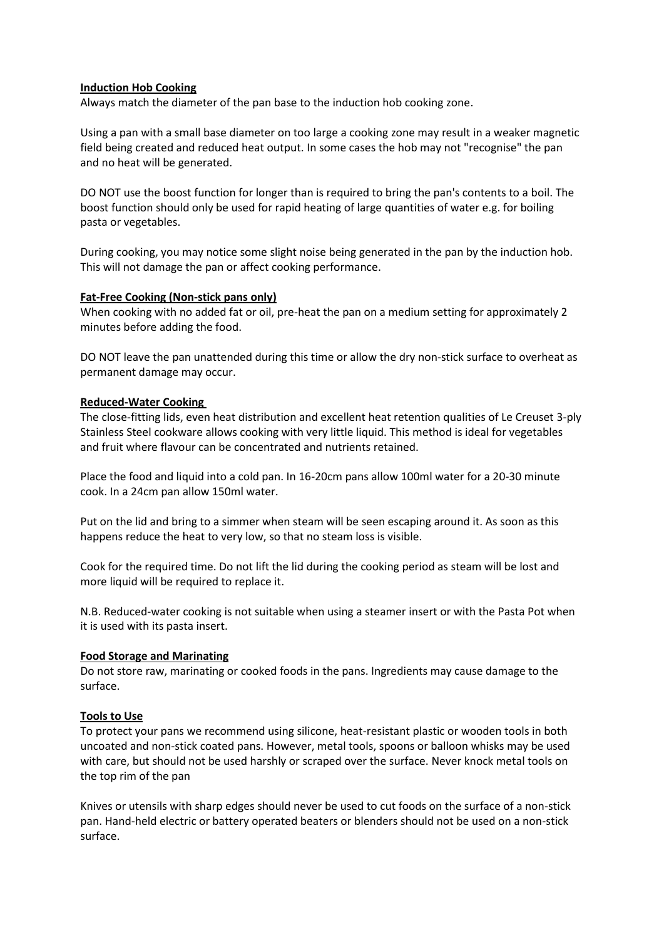#### **Induction Hob Cooking**

Always match the diameter of the pan base to the induction hob cooking zone.

Using a pan with a small base diameter on too large a cooking zone may result in a weaker magnetic field being created and reduced heat output. In some cases the hob may not "recognise" the pan and no heat will be generated.

DO NOT use the boost function for longer than is required to bring the pan's contents to a boil. The boost function should only be used for rapid heating of large quantities of water e.g. for boiling pasta or vegetables.

During cooking, you may notice some slight noise being generated in the pan by the induction hob. This will not damage the pan or affect cooking performance.

#### **Fat-Free Cooking (Non-stick pans only)**

When cooking with no added fat or oil, pre-heat the pan on a medium setting for approximately 2 minutes before adding the food.

DO NOT leave the pan unattended during this time or allow the dry non-stick surface to overheat as permanent damage may occur.

#### **Reduced-Water Cooking**

The close-fitting lids, even heat distribution and excellent heat retention qualities of Le Creuset 3-ply Stainless Steel cookware allows cooking with very little liquid. This method is ideal for vegetables and fruit where flavour can be concentrated and nutrients retained.

Place the food and liquid into a cold pan. In 16-20cm pans allow 100ml water for a 20-30 minute cook. In a 24cm pan allow 150ml water.

Put on the lid and bring to a simmer when steam will be seen escaping around it. As soon as this happens reduce the heat to very low, so that no steam loss is visible.

Cook for the required time. Do not lift the lid during the cooking period as steam will be lost and more liquid will be required to replace it.

N.B. Reduced-water cooking is not suitable when using a steamer insert or with the Pasta Pot when it is used with its pasta insert.

#### **Food Storage and Marinating**

Do not store raw, marinating or cooked foods in the pans. Ingredients may cause damage to the surface.

#### **Tools to Use**

To protect your pans we recommend using silicone, heat-resistant plastic or wooden tools in both uncoated and non-stick coated pans. However, metal tools, spoons or balloon whisks may be used with care, but should not be used harshly or scraped over the surface. Never knock metal tools on the top rim of the pan

Knives or utensils with sharp edges should never be used to cut foods on the surface of a non-stick pan. Hand-held electric or battery operated beaters or blenders should not be used on a non-stick surface.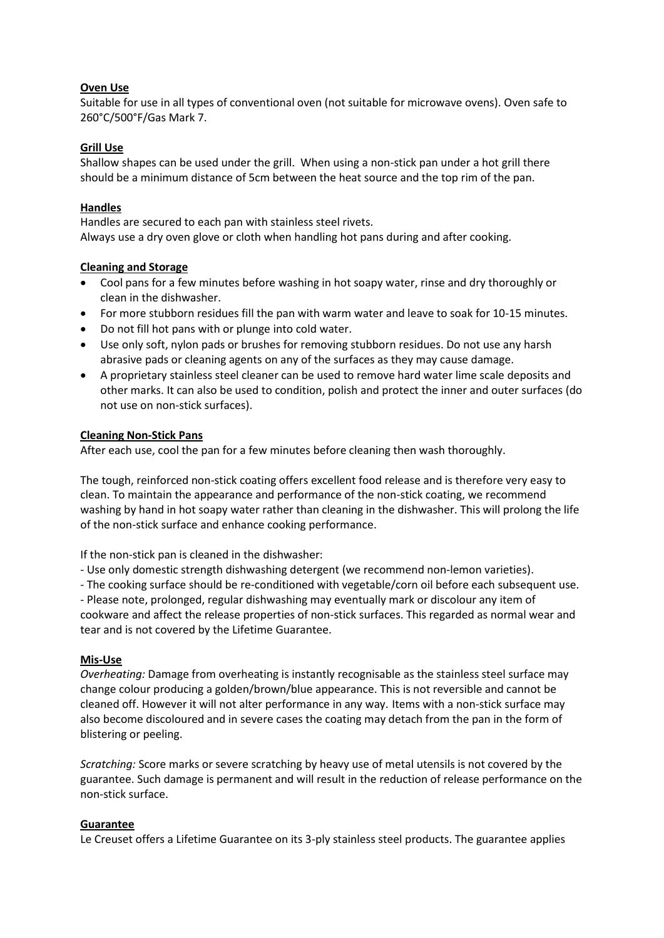### **Oven Use**

Suitable for use in all types of conventional oven (not suitable for microwave ovens). Oven safe to 260°C/500°F/Gas Mark 7.

# **Grill Use**

Shallow shapes can be used under the grill. When using a non-stick pan under a hot grill there should be a minimum distance of 5cm between the heat source and the top rim of the pan.

# **Handles**

Handles are secured to each pan with stainless steel rivets. Always use a dry oven glove or cloth when handling hot pans during and after cooking.

# **Cleaning and Storage**

- Cool pans for a few minutes before washing in hot soapy water, rinse and dry thoroughly or clean in the dishwasher.
- For more stubborn residues fill the pan with warm water and leave to soak for 10-15 minutes.
- Do not fill hot pans with or plunge into cold water.
- Use only soft, nylon pads or brushes for removing stubborn residues. Do not use any harsh abrasive pads or cleaning agents on any of the surfaces as they may cause damage.
- A proprietary stainless steel cleaner can be used to remove hard water lime scale deposits and other marks. It can also be used to condition, polish and protect the inner and outer surfaces (do not use on non-stick surfaces).

# **Cleaning Non-Stick Pans**

After each use, cool the pan for a few minutes before cleaning then wash thoroughly.

The tough, reinforced non-stick coating offers excellent food release and is therefore very easy to clean. To maintain the appearance and performance of the non-stick coating, we recommend washing by hand in hot soapy water rather than cleaning in the dishwasher. This will prolong the life of the non-stick surface and enhance cooking performance.

If the non-stick pan is cleaned in the dishwasher:

- Use only domestic strength dishwashing detergent (we recommend non-lemon varieties).

- The cooking surface should be re-conditioned with vegetable/corn oil before each subsequent use.

- Please note, prolonged, regular dishwashing may eventually mark or discolour any item of cookware and affect the release properties of non-stick surfaces. This regarded as normal wear and tear and is not covered by the Lifetime Guarantee.

#### **Mis-Use**

*Overheating:* Damage from overheating is instantly recognisable as the stainless steel surface may change colour producing a golden/brown/blue appearance. This is not reversible and cannot be cleaned off. However it will not alter performance in any way. Items with a non-stick surface may also become discoloured and in severe cases the coating may detach from the pan in the form of blistering or peeling.

*Scratching:* Score marks or severe scratching by heavy use of metal utensils is not covered by the guarantee. Such damage is permanent and will result in the reduction of release performance on the non-stick surface.

#### **Guarantee**

Le Creuset offers a Lifetime Guarantee on its 3-ply stainless steel products. The guarantee applies